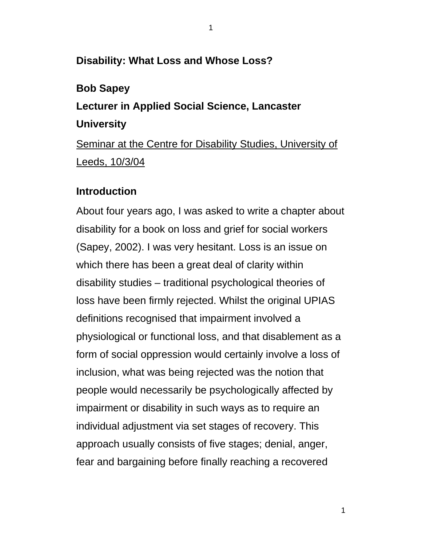## **Disability: What Loss and Whose Loss?**

### **Bob Sapey**

# **Lecturer in Applied Social Science, Lancaster University**  Seminar at the Centre for Disability Studies, University of

Leeds, 10/3/04

#### **Introduction**

About four years ago, I was asked to write a chapter about disability for a book on loss and grief for social workers (Sapey, 2002). I was very hesitant. Loss is an issue on which there has been a great deal of clarity within disability studies – traditional psychological theories of loss have been firmly rejected. Whilst the original UPIAS definitions recognised that impairment involved a physiological or functional loss, and that disablement as a form of social oppression would certainly involve a loss of inclusion, what was being rejected was the notion that people would necessarily be psychologically affected by impairment or disability in such ways as to require an individual adjustment via set stages of recovery. This approach usually consists of five stages; denial, anger, fear and bargaining before finally reaching a recovered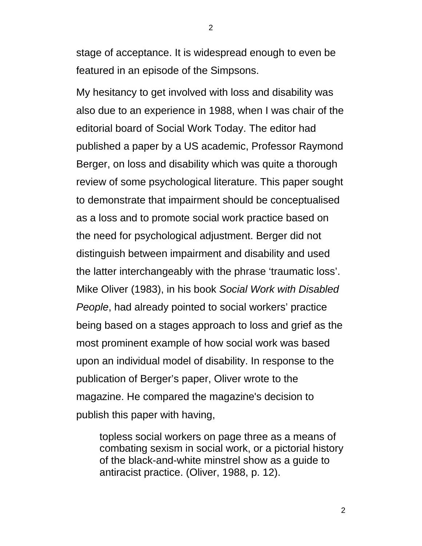stage of acceptance. It is widespread enough to even be featured in an episode of the Simpsons.

My hesitancy to get involved with loss and disability was also due to an experience in 1988, when I was chair of the editorial board of Social Work Today. The editor had published a paper by a US academic, Professor Raymond Berger, on loss and disability which was quite a thorough review of some psychological literature. This paper sought to demonstrate that impairment should be conceptualised as a loss and to promote social work practice based on the need for psychological adjustment. Berger did not distinguish between impairment and disability and used the latter interchangeably with the phrase 'traumatic loss'. Mike Oliver (1983), in his book *Social Work with Disabled People*, had already pointed to social workers' practice being based on a stages approach to loss and grief as the most prominent example of how social work was based upon an individual model of disability. In response to the publication of Berger's paper, Oliver wrote to the magazine. He compared the magazine's decision to publish this paper with having,

topless social workers on page three as a means of combating sexism in social work, or a pictorial history of the black-and-white minstrel show as a guide to antiracist practice. (Oliver, 1988, p. 12).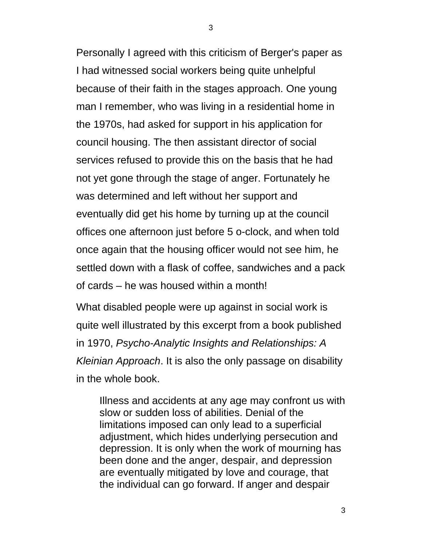Personally I agreed with this criticism of Berger's paper as I had witnessed social workers being quite unhelpful because of their faith in the stages approach. One young man I remember, who was living in a residential home in the 1970s, had asked for support in his application for council housing. The then assistant director of social services refused to provide this on the basis that he had not yet gone through the stage of anger. Fortunately he was determined and left without her support and eventually did get his home by turning up at the council offices one afternoon just before 5 o-clock, and when told once again that the housing officer would not see him, he settled down with a flask of coffee, sandwiches and a pack of cards – he was housed within a month!

What disabled people were up against in social work is quite well illustrated by this excerpt from a book published in 1970, *Psycho-Analytic Insights and Relationships: A Kleinian Approach*. It is also the only passage on disability in the whole book.

Illness and accidents at any age may confront us with slow or sudden loss of abilities. Denial of the limitations imposed can only lead to a superficial adjustment, which hides underlying persecution and depression. It is only when the work of mourning has been done and the anger, despair, and depression are eventually mitigated by love and courage, that the individual can go forward. If anger and despair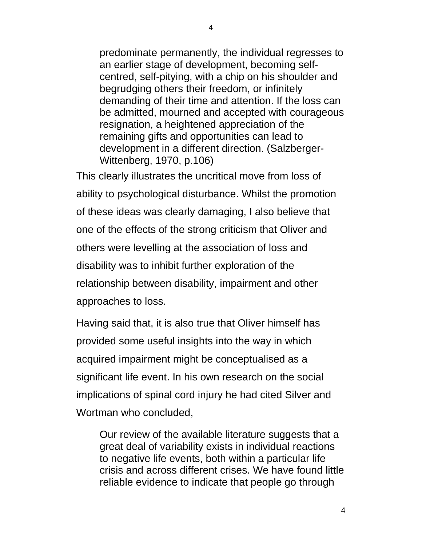predominate permanently, the individual regresses to an earlier stage of development, becoming selfcentred, self-pitying, with a chip on his shoulder and begrudging others their freedom, or infinitely demanding of their time and attention. If the loss can be admitted, mourned and accepted with courageous resignation, a heightened appreciation of the remaining gifts and opportunities can lead to development in a different direction. (Salzberger-Wittenberg, 1970, p.106)

This clearly illustrates the uncritical move from loss of ability to psychological disturbance. Whilst the promotion of these ideas was clearly damaging, I also believe that one of the effects of the strong criticism that Oliver and others were levelling at the association of loss and disability was to inhibit further exploration of the relationship between disability, impairment and other approaches to loss.

Having said that, it is also true that Oliver himself has provided some useful insights into the way in which acquired impairment might be conceptualised as a significant life event. In his own research on the social implications of spinal cord injury he had cited Silver and Wortman who concluded,

Our review of the available literature suggests that a great deal of variability exists in individual reactions to negative life events, both within a particular life crisis and across different crises. We have found little reliable evidence to indicate that people go through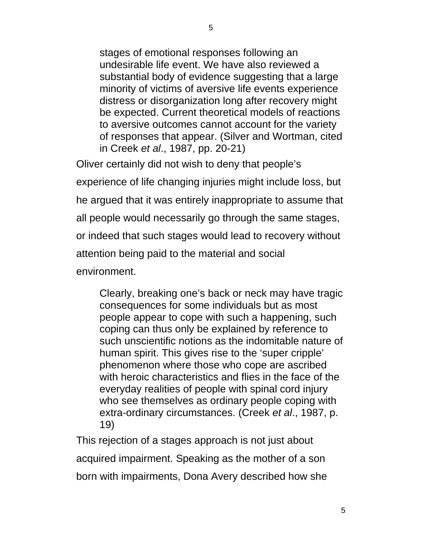stages of emotional responses following an undesirable life event. We have also reviewed a substantial body of evidence suggesting that a large minority of victims of aversive life events experience distress or disorganization long after recovery might be expected. Current theoretical models of reactions to aversive outcomes cannot account for the variety of responses that appear. (Silver and Wortman, cited in Creek *et al*., 1987, pp. 20-21)

Oliver certainly did not wish to deny that people's experience of life changing injuries might include loss, but he argued that it was entirely inappropriate to assume that all people would necessarily go through the same stages, or indeed that such stages would lead to recovery without attention being paid to the material and social environment.

Clearly, breaking one's back or neck may have tragic consequences for some individuals but as most people appear to cope with such a happening, such coping can thus only be explained by reference to such unscientific notions as the indomitable nature of human spirit. This gives rise to the 'super cripple' phenomenon where those who cope are ascribed with heroic characteristics and flies in the face of the everyday realities of people with spinal cord injury who see themselves as ordinary people coping with extra-ordinary circumstances. (Creek *et al*., 1987, p. 19)

This rejection of a stages approach is not just about acquired impairment. Speaking as the mother of a son born with impairments, Dona Avery described how she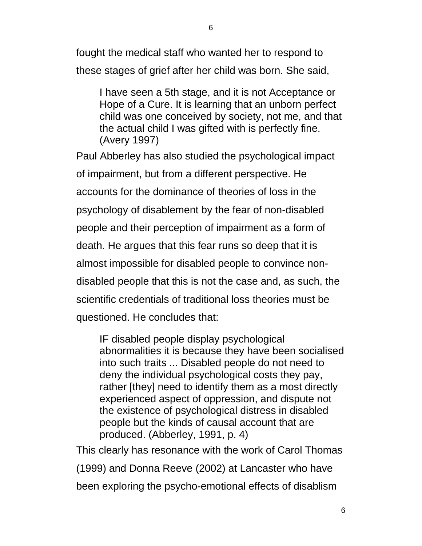6

fought the medical staff who wanted her to respond to these stages of grief after her child was born. She said,

I have seen a 5th stage, and it is not Acceptance or Hope of a Cure. It is learning that an unborn perfect child was one conceived by society, not me, and that the actual child I was gifted with is perfectly fine. (Avery 1997)

Paul Abberley has also studied the psychological impact of impairment, but from a different perspective. He accounts for the dominance of theories of loss in the psychology of disablement by the fear of non-disabled people and their perception of impairment as a form of death. He argues that this fear runs so deep that it is almost impossible for disabled people to convince nondisabled people that this is not the case and, as such, the scientific credentials of traditional loss theories must be questioned. He concludes that:

IF disabled people display psychological abnormalities it is because they have been socialised into such traits ... Disabled people do not need to deny the individual psychological costs they pay, rather [they] need to identify them as a most directly experienced aspect of oppression, and dispute not the existence of psychological distress in disabled people but the kinds of causal account that are produced. (Abberley, 1991, p. 4)

This clearly has resonance with the work of Carol Thomas (1999) and Donna Reeve (2002) at Lancaster who have been exploring the psycho-emotional effects of disablism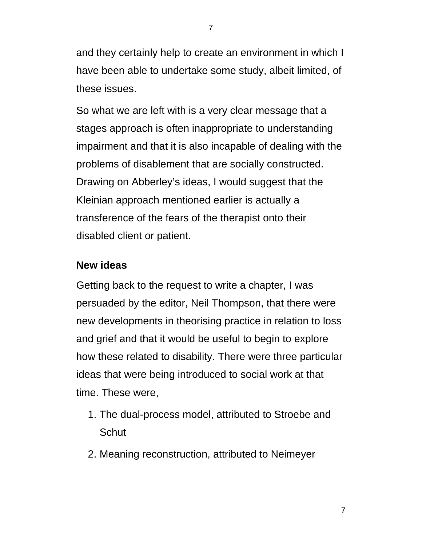and they certainly help to create an environment in which I have been able to undertake some study, albeit limited, of these issues.

So what we are left with is a very clear message that a stages approach is often inappropriate to understanding impairment and that it is also incapable of dealing with the problems of disablement that are socially constructed. Drawing on Abberley's ideas, I would suggest that the Kleinian approach mentioned earlier is actually a transference of the fears of the therapist onto their disabled client or patient.

## **New ideas**

Getting back to the request to write a chapter, I was persuaded by the editor, Neil Thompson, that there were new developments in theorising practice in relation to loss and grief and that it would be useful to begin to explore how these related to disability. There were three particular ideas that were being introduced to social work at that time. These were,

- 1. The dual-process model, attributed to Stroebe and **Schut**
- 2. Meaning reconstruction, attributed to Neimeyer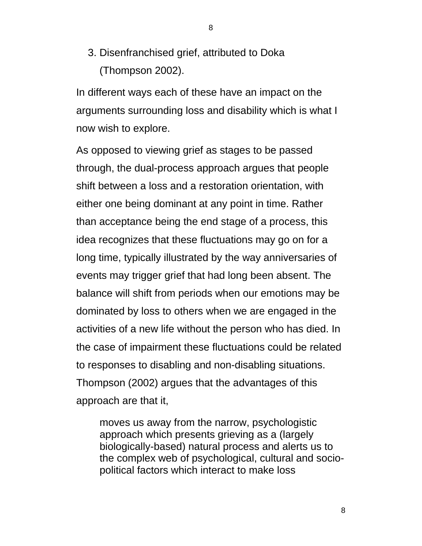3. Disenfranchised grief, attributed to Doka (Thompson 2002).

In different ways each of these have an impact on the arguments surrounding loss and disability which is what I now wish to explore.

As opposed to viewing grief as stages to be passed through, the dual-process approach argues that people shift between a loss and a restoration orientation, with either one being dominant at any point in time. Rather than acceptance being the end stage of a process, this idea recognizes that these fluctuations may go on for a long time, typically illustrated by the way anniversaries of events may trigger grief that had long been absent. The balance will shift from periods when our emotions may be dominated by loss to others when we are engaged in the activities of a new life without the person who has died. In the case of impairment these fluctuations could be related to responses to disabling and non-disabling situations. Thompson (2002) argues that the advantages of this approach are that it,

moves us away from the narrow, psychologistic approach which presents grieving as a (largely biologically-based) natural process and alerts us to the complex web of psychological, cultural and sociopolitical factors which interact to make loss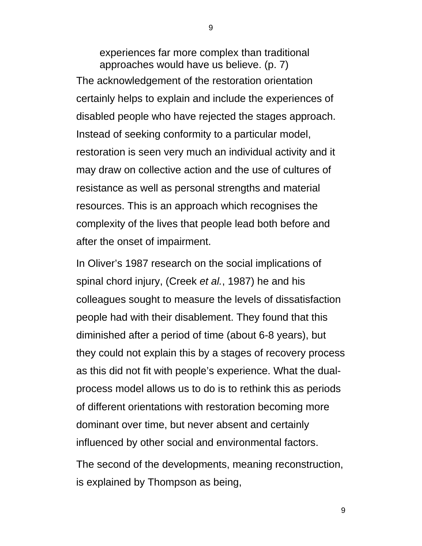experiences far more complex than traditional approaches would have us believe. (p. 7) The acknowledgement of the restoration orientation certainly helps to explain and include the experiences of disabled people who have rejected the stages approach. Instead of seeking conformity to a particular model, restoration is seen very much an individual activity and it may draw on collective action and the use of cultures of resistance as well as personal strengths and material resources. This is an approach which recognises the complexity of the lives that people lead both before and after the onset of impairment.

In Oliver's 1987 research on the social implications of spinal chord injury, (Creek *et al.*, 1987) he and his colleagues sought to measure the levels of dissatisfaction people had with their disablement. They found that this diminished after a period of time (about 6-8 years), but they could not explain this by a stages of recovery process as this did not fit with people's experience. What the dualprocess model allows us to do is to rethink this as periods of different orientations with restoration becoming more dominant over time, but never absent and certainly influenced by other social and environmental factors. The second of the developments, meaning reconstruction,

is explained by Thompson as being,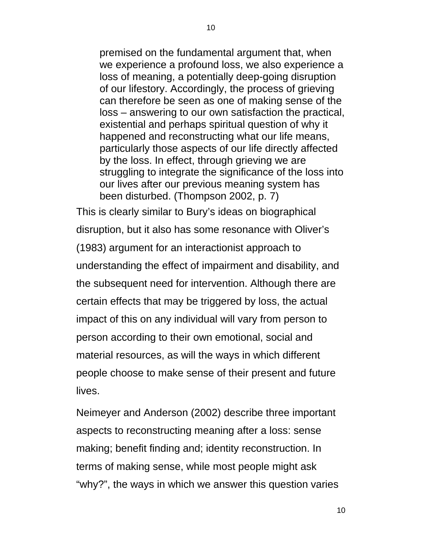premised on the fundamental argument that, when we experience a profound loss, we also experience a loss of meaning, a potentially deep-going disruption of our lifestory. Accordingly, the process of grieving can therefore be seen as one of making sense of the loss – answering to our own satisfaction the practical, existential and perhaps spiritual question of why it happened and reconstructing what our life means, particularly those aspects of our life directly affected by the loss. In effect, through grieving we are struggling to integrate the significance of the loss into our lives after our previous meaning system has been disturbed. (Thompson 2002, p. 7)

This is clearly similar to Bury's ideas on biographical disruption, but it also has some resonance with Oliver's (1983) argument for an interactionist approach to understanding the effect of impairment and disability, and the subsequent need for intervention. Although there are certain effects that may be triggered by loss, the actual impact of this on any individual will vary from person to person according to their own emotional, social and material resources, as will the ways in which different people choose to make sense of their present and future lives.

Neimeyer and Anderson (2002) describe three important aspects to reconstructing meaning after a loss: sense making; benefit finding and; identity reconstruction. In terms of making sense, while most people might ask "why?", the ways in which we answer this question varies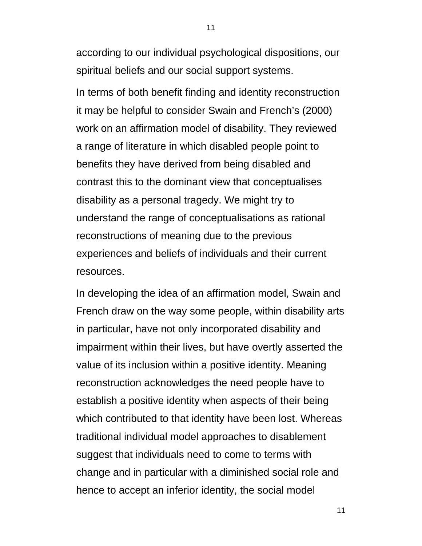according to our individual psychological dispositions, our spiritual beliefs and our social support systems.

In terms of both benefit finding and identity reconstruction it may be helpful to consider Swain and French's (2000) work on an affirmation model of disability. They reviewed a range of literature in which disabled people point to benefits they have derived from being disabled and contrast this to the dominant view that conceptualises disability as a personal tragedy. We might try to understand the range of conceptualisations as rational reconstructions of meaning due to the previous experiences and beliefs of individuals and their current resources.

In developing the idea of an affirmation model, Swain and French draw on the way some people, within disability arts in particular, have not only incorporated disability and impairment within their lives, but have overtly asserted the value of its inclusion within a positive identity. Meaning reconstruction acknowledges the need people have to establish a positive identity when aspects of their being which contributed to that identity have been lost. Whereas traditional individual model approaches to disablement suggest that individuals need to come to terms with change and in particular with a diminished social role and hence to accept an inferior identity, the social model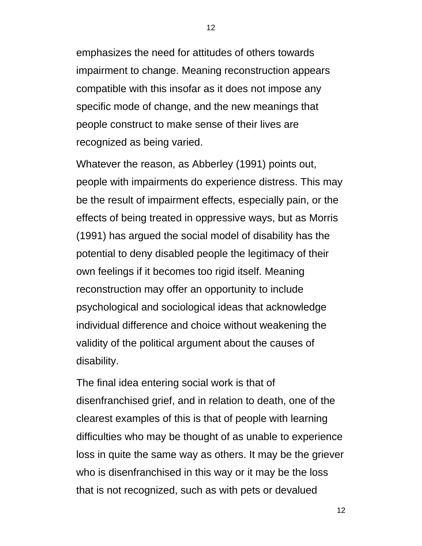emphasizes the need for attitudes of others towards impairment to change. Meaning reconstruction appears compatible with this insofar as it does not impose any specific mode of change, and the new meanings that people construct to make sense of their lives are recognized as being varied.

Whatever the reason, as Abberley (1991) points out, people with impairments do experience distress. This may be the result of impairment effects, especially pain, or the effects of being treated in oppressive ways, but as Morris (1991) has argued the social model of disability has the potential to deny disabled people the legitimacy of their own feelings if it becomes too rigid itself. Meaning reconstruction may offer an opportunity to include psychological and sociological ideas that acknowledge individual difference and choice without weakening the validity of the political argument about the causes of disability.

The final idea entering social work is that of disenfranchised grief, and in relation to death, one of the clearest examples of this is that of people with learning difficulties who may be thought of as unable to experience loss in quite the same way as others. It may be the griever who is disenfranchised in this way or it may be the loss that is not recognized, such as with pets or devalued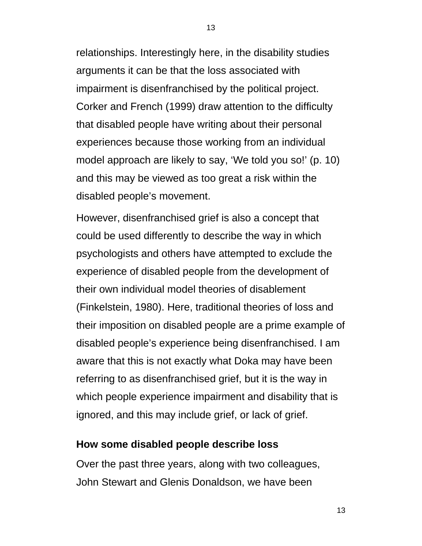relationships. Interestingly here, in the disability studies arguments it can be that the loss associated with impairment is disenfranchised by the political project. Corker and French (1999) draw attention to the difficulty that disabled people have writing about their personal experiences because those working from an individual model approach are likely to say, 'We told you so!' (p. 10) and this may be viewed as too great a risk within the disabled people's movement.

However, disenfranchised grief is also a concept that could be used differently to describe the way in which psychologists and others have attempted to exclude the experience of disabled people from the development of their own individual model theories of disablement (Finkelstein, 1980). Here, traditional theories of loss and their imposition on disabled people are a prime example of disabled people's experience being disenfranchised. I am aware that this is not exactly what Doka may have been referring to as disenfranchised grief, but it is the way in which people experience impairment and disability that is ignored, and this may include grief, or lack of grief.

#### **How some disabled people describe loss**

Over the past three years, along with two colleagues, John Stewart and Glenis Donaldson, we have been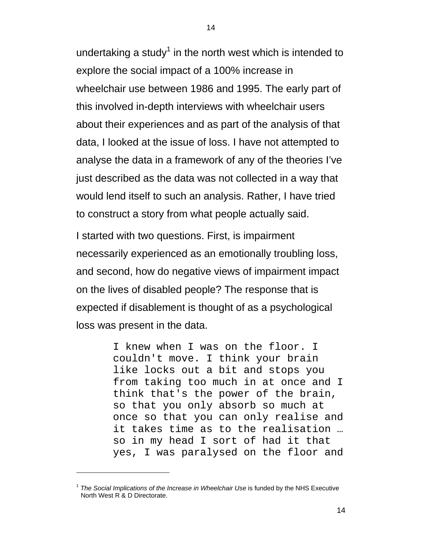undertaking a study<sup>1</sup> in the north west which is intended to explore the social impact of a 100% increase in wheelchair use between 1986 and 1995. The early part of this involved in-depth interviews with wheelchair users about their experiences and as part of the analysis of that data, I looked at the issue of loss. I have not attempted to analyse the data in a framework of any of the theories I've just described as the data was not collected in a way that would lend itself to such an analysis. Rather, I have tried to construct a story from what people actually said.

I started with two questions. First, is impairment necessarily experienced as an emotionally troubling loss, and second, how do negative views of impairment impact on the lives of disabled people? The response that is expected if disablement is thought of as a psychological loss was present in the data.

> I knew when I was on the floor. I couldn't move. I think your brain like locks out a bit and stops you from taking too much in at once and I think that's the power of the brain, so that you only absorb so much at once so that you can only realise and it takes time as to the realisation … so in my head I sort of had it that yes, I was paralysed on the floor and

 $\overline{a}$ 

<sup>&</sup>lt;sup>1</sup> The Social Implications of the Increase in Wheelchair Use is funded by the NHS Executive North West R & D Directorate.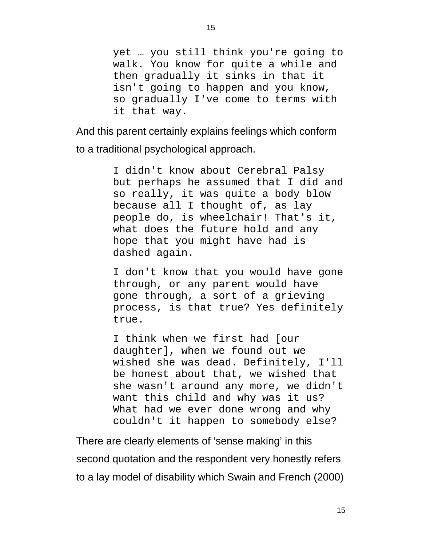yet … you still think you're going to walk. You know for quite a while and then gradually it sinks in that it isn't going to happen and you know, so gradually I've come to terms with it that way.

And this parent certainly explains feelings which conform to a traditional psychological approach.

> I didn't know about Cerebral Palsy but perhaps he assumed that I did and so really, it was quite a body blow because all I thought of, as lay people do, is wheelchair! That's it, what does the future hold and any hope that you might have had is dashed again.

> I don't know that you would have gone through, or any parent would have gone through, a sort of a grieving process, is that true? Yes definitely true.

> I think when we first had [our daughter], when we found out we wished she was dead. Definitely, I'll be honest about that, we wished that she wasn't around any more, we didn't want this child and why was it us? What had we ever done wrong and why couldn't it happen to somebody else?

There are clearly elements of 'sense making' in this second quotation and the respondent very honestly refers to a lay model of disability which Swain and French (2000)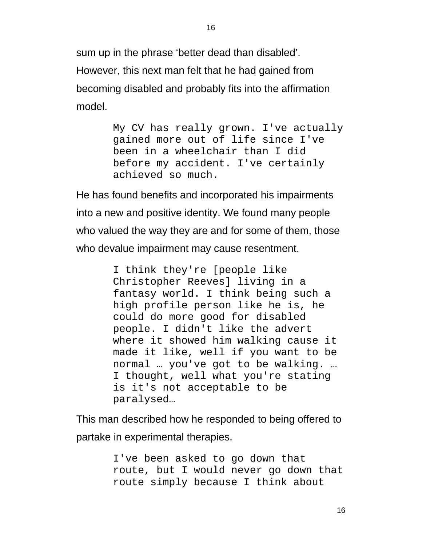sum up in the phrase 'better dead than disabled'. However, this next man felt that he had gained from becoming disabled and probably fits into the affirmation model.

> My CV has really grown. I've actually gained more out of life since I've been in a wheelchair than I did before my accident. I've certainly achieved so much.

He has found benefits and incorporated his impairments into a new and positive identity. We found many people who valued the way they are and for some of them, those who devalue impairment may cause resentment.

> I think they're [people like Christopher Reeves] living in a fantasy world. I think being such a high profile person like he is, he could do more good for disabled people. I didn't like the advert where it showed him walking cause it made it like, well if you want to be normal … you've got to be walking. … I thought, well what you're stating is it's not acceptable to be paralysed…

This man described how he responded to being offered to partake in experimental therapies.

> I've been asked to go down that route, but I would never go down that route simply because I think about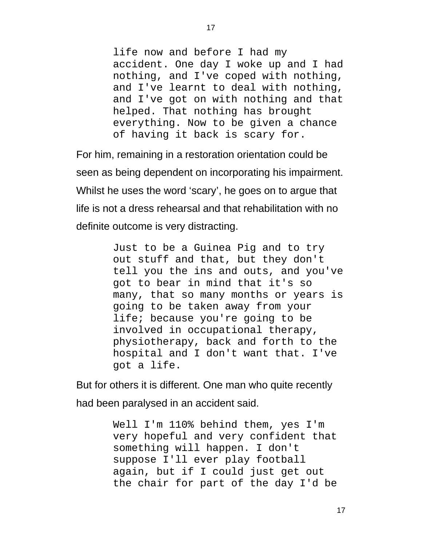life now and before I had my accident. One day I woke up and I had nothing, and I've coped with nothing, and I've learnt to deal with nothing, and I've got on with nothing and that helped. That nothing has brought everything. Now to be given a chance of having it back is scary for.

For him, remaining in a restoration orientation could be seen as being dependent on incorporating his impairment. Whilst he uses the word 'scary', he goes on to argue that life is not a dress rehearsal and that rehabilitation with no definite outcome is very distracting.

> Just to be a Guinea Pig and to try out stuff and that, but they don't tell you the ins and outs, and you've got to bear in mind that it's so many, that so many months or years is going to be taken away from your life; because you're going to be involved in occupational therapy, physiotherapy, back and forth to the hospital and I don't want that. I've got a life.

But for others it is different. One man who quite recently had been paralysed in an accident said.

> Well I'm 110% behind them, yes I'm very hopeful and very confident that something will happen. I don't suppose I'll ever play football again, but if I could just get out the chair for part of the day I'd be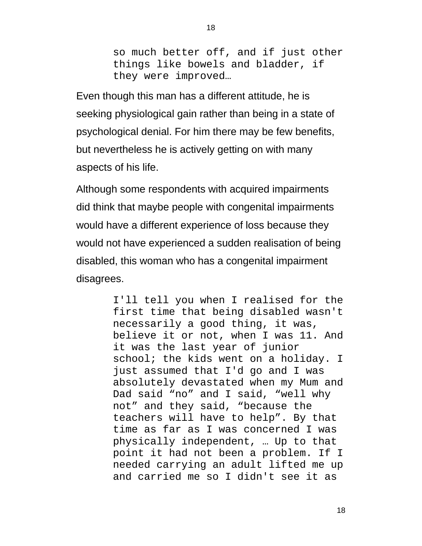so much better off, and if just other things like bowels and bladder, if they were improved…

Even though this man has a different attitude, he is seeking physiological gain rather than being in a state of psychological denial. For him there may be few benefits, but nevertheless he is actively getting on with many aspects of his life.

Although some respondents with acquired impairments did think that maybe people with congenital impairments would have a different experience of loss because they would not have experienced a sudden realisation of being disabled, this woman who has a congenital impairment disagrees.

> I'll tell you when I realised for the first time that being disabled wasn't necessarily a good thing, it was, believe it or not, when I was 11. And it was the last year of junior school; the kids went on a holiday. I just assumed that I'd go and I was absolutely devastated when my Mum and Dad said "no" and I said, "well why not" and they said, "because the teachers will have to help". By that time as far as I was concerned I was physically independent, … Up to that point it had not been a problem. If I needed carrying an adult lifted me up and carried me so I didn't see it as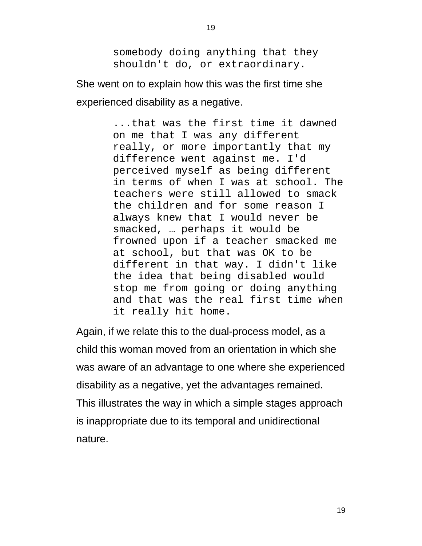somebody doing anything that they shouldn't do, or extraordinary.

19

She went on to explain how this was the first time she experienced disability as a negative.

> ...that was the first time it dawned on me that I was any different really, or more importantly that my difference went against me. I'd perceived myself as being different in terms of when I was at school. The teachers were still allowed to smack the children and for some reason I always knew that I would never be smacked, … perhaps it would be frowned upon if a teacher smacked me at school, but that was OK to be different in that way. I didn't like the idea that being disabled would stop me from going or doing anything and that was the real first time when it really hit home.

Again, if we relate this to the dual-process model, as a child this woman moved from an orientation in which she was aware of an advantage to one where she experienced disability as a negative, yet the advantages remained. This illustrates the way in which a simple stages approach is inappropriate due to its temporal and unidirectional nature.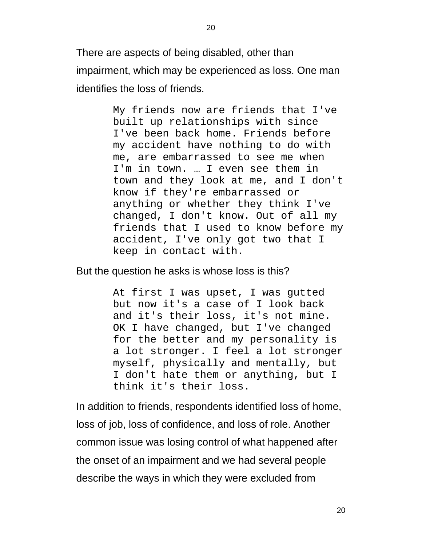There are aspects of being disabled, other than impairment, which may be experienced as loss. One man identifies the loss of friends.

> My friends now are friends that I've built up relationships with since I've been back home. Friends before my accident have nothing to do with me, are embarrassed to see me when I'm in town. … I even see them in town and they look at me, and I don't know if they're embarrassed or anything or whether they think I've changed, I don't know. Out of all my friends that I used to know before my accident, I've only got two that I keep in contact with.

But the question he asks is whose loss is this?

At first I was upset, I was gutted but now it's a case of I look back and it's their loss, it's not mine. OK I have changed, but I've changed for the better and my personality is a lot stronger. I feel a lot stronger myself, physically and mentally, but I don't hate them or anything, but I think it's their loss.

In addition to friends, respondents identified loss of home, loss of job, loss of confidence, and loss of role. Another common issue was losing control of what happened after the onset of an impairment and we had several people describe the ways in which they were excluded from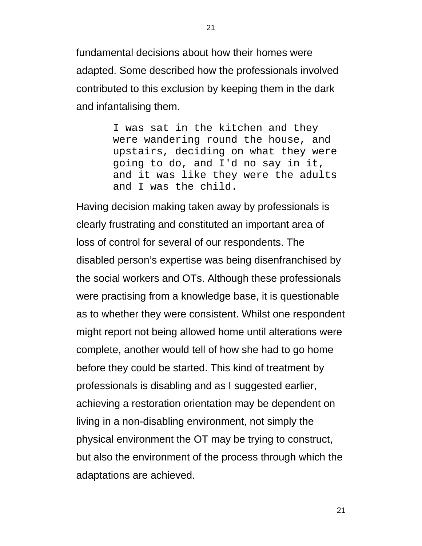fundamental decisions about how their homes were adapted. Some described how the professionals involved contributed to this exclusion by keeping them in the dark and infantalising them.

> I was sat in the kitchen and they were wandering round the house, and upstairs, deciding on what they were going to do, and I'd no say in it, and it was like they were the adults and I was the child.

Having decision making taken away by professionals is clearly frustrating and constituted an important area of loss of control for several of our respondents. The disabled person's expertise was being disenfranchised by the social workers and OTs. Although these professionals were practising from a knowledge base, it is questionable as to whether they were consistent. Whilst one respondent might report not being allowed home until alterations were complete, another would tell of how she had to go home before they could be started. This kind of treatment by professionals is disabling and as I suggested earlier, achieving a restoration orientation may be dependent on living in a non-disabling environment, not simply the physical environment the OT may be trying to construct, but also the environment of the process through which the adaptations are achieved.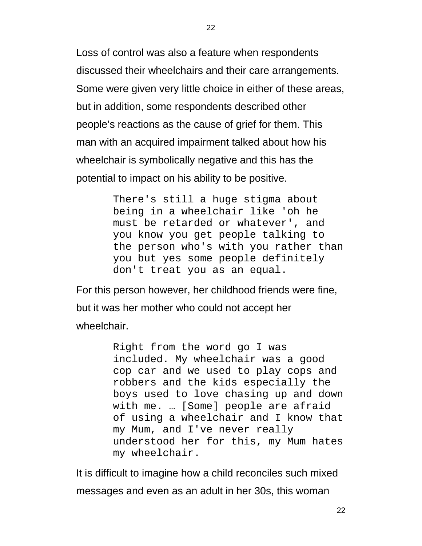Loss of control was also a feature when respondents discussed their wheelchairs and their care arrangements. Some were given very little choice in either of these areas, but in addition, some respondents described other people's reactions as the cause of grief for them. This man with an acquired impairment talked about how his wheelchair is symbolically negative and this has the potential to impact on his ability to be positive.

> There's still a huge stigma about being in a wheelchair like 'oh he must be retarded or whatever', and you know you get people talking to the person who's with you rather than you but yes some people definitely don't treat you as an equal.

For this person however, her childhood friends were fine, but it was her mother who could not accept her wheelchair.

> Right from the word go I was included. My wheelchair was a good cop car and we used to play cops and robbers and the kids especially the boys used to love chasing up and down with me. … [Some] people are afraid of using a wheelchair and I know that my Mum, and I've never really understood her for this, my Mum hates my wheelchair.

It is difficult to imagine how a child reconciles such mixed messages and even as an adult in her 30s, this woman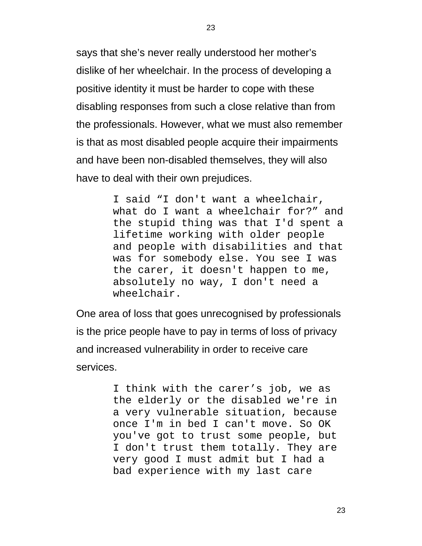says that she's never really understood her mother's dislike of her wheelchair. In the process of developing a positive identity it must be harder to cope with these disabling responses from such a close relative than from the professionals. However, what we must also remember is that as most disabled people acquire their impairments and have been non-disabled themselves, they will also have to deal with their own prejudices.

> I said "I don't want a wheelchair, what do I want a wheelchair for?" and the stupid thing was that I'd spent a lifetime working with older people and people with disabilities and that was for somebody else. You see I was the carer, it doesn't happen to me, absolutely no way, I don't need a wheelchair.

One area of loss that goes unrecognised by professionals is the price people have to pay in terms of loss of privacy and increased vulnerability in order to receive care services.

> I think with the carer's job, we as the elderly or the disabled we're in a very vulnerable situation, because once I'm in bed I can't move. So OK you've got to trust some people, but I don't trust them totally. They are very good I must admit but I had a bad experience with my last care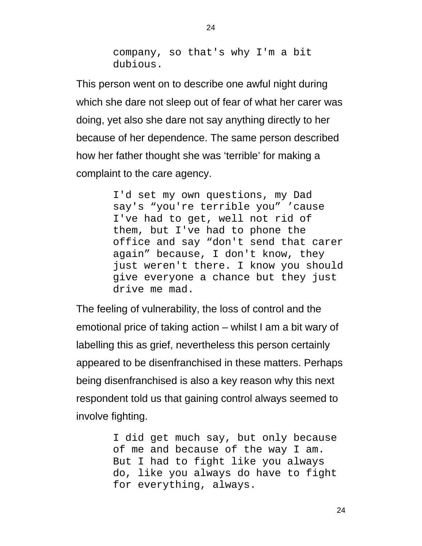company, so that's why I'm a bit dubious.

This person went on to describe one awful night during which she dare not sleep out of fear of what her carer was doing, yet also she dare not say anything directly to her because of her dependence. The same person described how her father thought she was 'terrible' for making a complaint to the care agency.

> I'd set my own questions, my Dad say's "you're terrible you" 'cause I've had to get, well not rid of them, but I've had to phone the office and say "don't send that carer again" because, I don't know, they just weren't there. I know you should give everyone a chance but they just drive me mad.

The feeling of vulnerability, the loss of control and the emotional price of taking action – whilst I am a bit wary of labelling this as grief, nevertheless this person certainly appeared to be disenfranchised in these matters. Perhaps being disenfranchised is also a key reason why this next respondent told us that gaining control always seemed to involve fighting.

> I did get much say, but only because of me and because of the way I am. But I had to fight like you always do, like you always do have to fight for everything, always.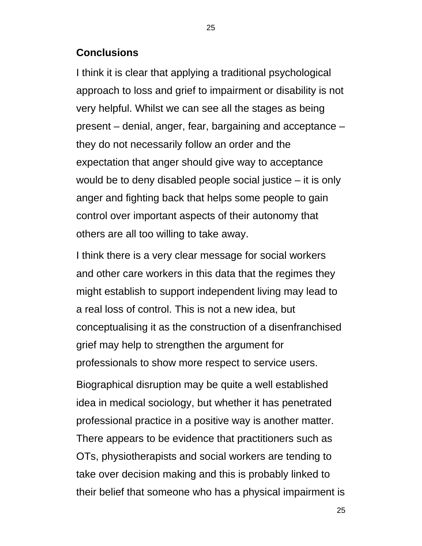#### **Conclusions**

I think it is clear that applying a traditional psychological approach to loss and grief to impairment or disability is not very helpful. Whilst we can see all the stages as being present – denial, anger, fear, bargaining and acceptance – they do not necessarily follow an order and the expectation that anger should give way to acceptance would be to deny disabled people social justice – it is only anger and fighting back that helps some people to gain control over important aspects of their autonomy that others are all too willing to take away.

I think there is a very clear message for social workers and other care workers in this data that the regimes they might establish to support independent living may lead to a real loss of control. This is not a new idea, but conceptualising it as the construction of a disenfranchised grief may help to strengthen the argument for professionals to show more respect to service users.

Biographical disruption may be quite a well established idea in medical sociology, but whether it has penetrated professional practice in a positive way is another matter. There appears to be evidence that practitioners such as OTs, physiotherapists and social workers are tending to take over decision making and this is probably linked to their belief that someone who has a physical impairment is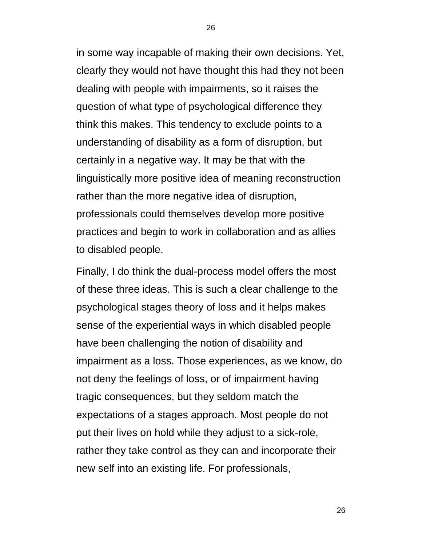in some way incapable of making their own decisions. Yet, clearly they would not have thought this had they not been dealing with people with impairments, so it raises the question of what type of psychological difference they think this makes. This tendency to exclude points to a understanding of disability as a form of disruption, but certainly in a negative way. It may be that with the linguistically more positive idea of meaning reconstruction rather than the more negative idea of disruption, professionals could themselves develop more positive practices and begin to work in collaboration and as allies to disabled people.

Finally, I do think the dual-process model offers the most of these three ideas. This is such a clear challenge to the psychological stages theory of loss and it helps makes sense of the experiential ways in which disabled people have been challenging the notion of disability and impairment as a loss. Those experiences, as we know, do not deny the feelings of loss, or of impairment having tragic consequences, but they seldom match the expectations of a stages approach. Most people do not put their lives on hold while they adjust to a sick-role, rather they take control as they can and incorporate their new self into an existing life. For professionals,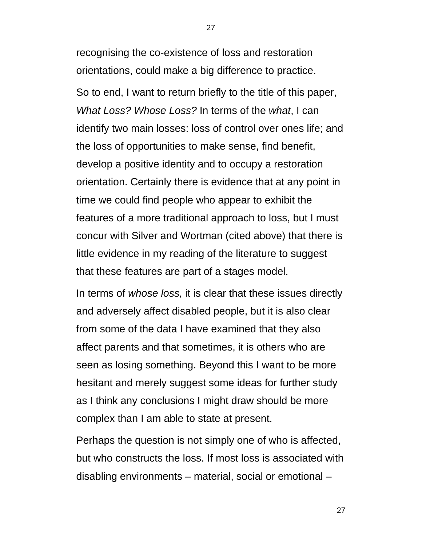recognising the co-existence of loss and restoration orientations, could make a big difference to practice. So to end, I want to return briefly to the title of this paper, *What Loss? Whose Loss?* In terms of the *what*, I can identify two main losses: loss of control over ones life; and the loss of opportunities to make sense, find benefit, develop a positive identity and to occupy a restoration orientation. Certainly there is evidence that at any point in time we could find people who appear to exhibit the features of a more traditional approach to loss, but I must concur with Silver and Wortman (cited above) that there is little evidence in my reading of the literature to suggest that these features are part of a stages model.

In terms of *whose loss,* it is clear that these issues directly and adversely affect disabled people, but it is also clear from some of the data I have examined that they also affect parents and that sometimes, it is others who are seen as losing something. Beyond this I want to be more hesitant and merely suggest some ideas for further study as I think any conclusions I might draw should be more complex than I am able to state at present.

Perhaps the question is not simply one of who is affected, but who constructs the loss. If most loss is associated with disabling environments – material, social or emotional –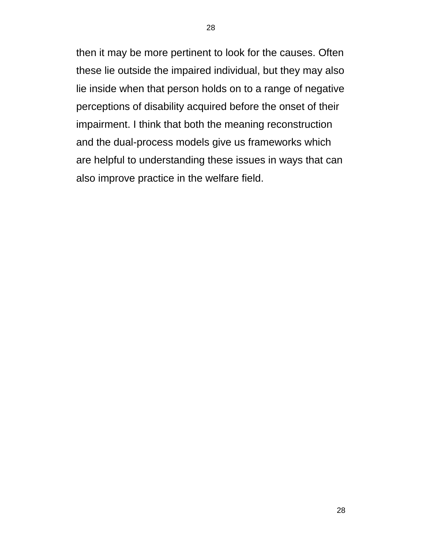then it may be more pertinent to look for the causes. Often these lie outside the impaired individual, but they may also lie inside when that person holds on to a range of negative perceptions of disability acquired before the onset of their impairment. I think that both the meaning reconstruction and the dual-process models give us frameworks which are helpful to understanding these issues in ways that can also improve practice in the welfare field.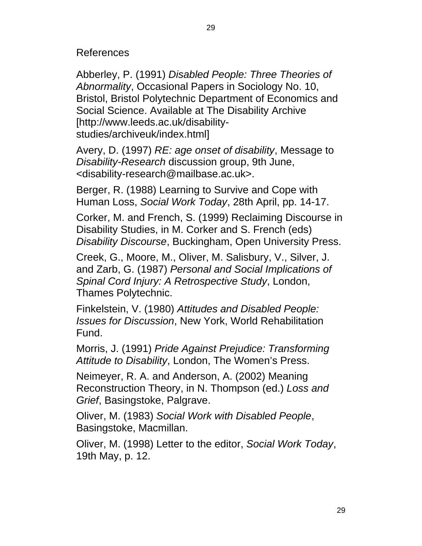References

Abberley, P. (1991) *Disabled People: Three Theories of Abnormality*, Occasional Papers in Sociology No. 10, Bristol, Bristol Polytechnic Department of Economics and Social Science. Available at The Disability Archive [http://www.leeds.ac.uk/disabilitystudies/archiveuk/index.html]

Avery, D. (1997) *RE: age onset of disability*, Message to *Disability-Research* discussion group, 9th June, <disability-research@mailbase.ac.uk>.

Berger, R. (1988) Learning to Survive and Cope with Human Loss, *Social Work Today*, 28th April, pp. 14-17.

Corker, M. and French, S. (1999) Reclaiming Discourse in Disability Studies, in M. Corker and S. French (eds) *Disability Discourse*, Buckingham, Open University Press.

Creek, G., Moore, M., Oliver, M. Salisbury, V., Silver, J. and Zarb, G. (1987) *Personal and Social Implications of Spinal Cord Injury: A Retrospective Study*, London, Thames Polytechnic.

Finkelstein, V. (1980) *Attitudes and Disabled People: Issues for Discussion*, New York, World Rehabilitation Fund.

Morris, J. (1991) *Pride Against Prejudice: Transforming Attitude to Disability*, London, The Women's Press.

Neimeyer, R. A. and Anderson, A. (2002) Meaning Reconstruction Theory, in N. Thompson (ed.) *Loss and Grief*, Basingstoke, Palgrave.

Oliver, M. (1983) *Social Work with Disabled People*, Basingstoke, Macmillan.

Oliver, M. (1998) Letter to the editor, *Social Work Today*, 19th May, p. 12.